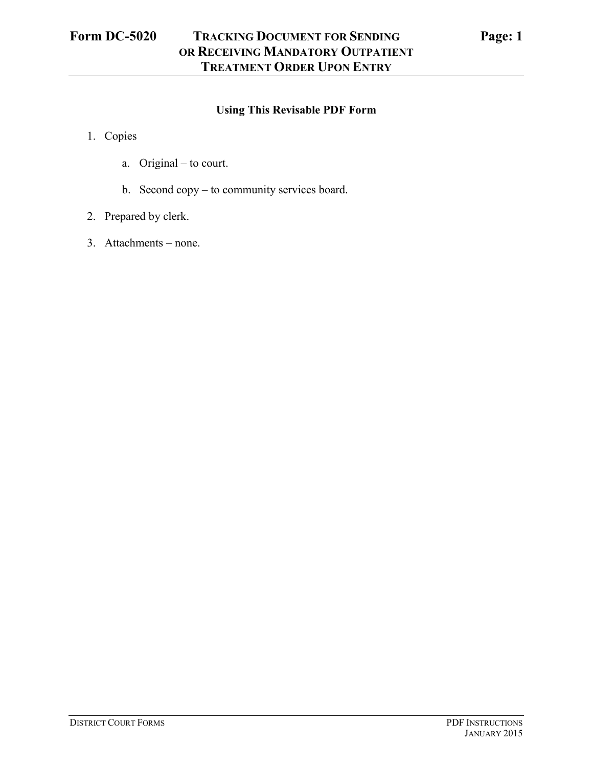## **Using This Revisable PDF Form**

- 1. Copies
	- a. Original to court.
	- b. Second copy to community services board.
- 2. Prepared by clerk.
- 3. Attachments none.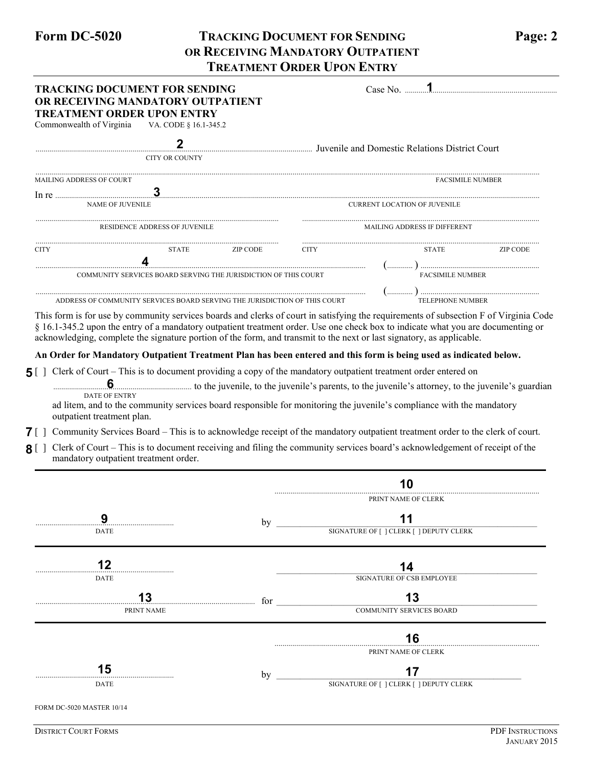## **Form DC-5020 TRACKING DOCUMENT FOR SENDING Page: 2 OR RECEIVING MANDATORY OUTPATIENT TREATMENT ORDER UPON ENTRY**

| <b>TRACKING DOCUMENT FOR SENDING</b><br>OR RECEIVING MANDATORY OUTPATIENT                                                                              |                                                                                                                                                                                                                                                                                                     |                |                              |                                         |                         |                 |  |
|--------------------------------------------------------------------------------------------------------------------------------------------------------|-----------------------------------------------------------------------------------------------------------------------------------------------------------------------------------------------------------------------------------------------------------------------------------------------------|----------------|------------------------------|-----------------------------------------|-------------------------|-----------------|--|
| Commonwealth of Virginia                                                                                                                               | <b>TREATMENT ORDER UPON ENTRY</b><br>VA. CODE § 16.1-345.2                                                                                                                                                                                                                                          |                |                              |                                         |                         |                 |  |
|                                                                                                                                                        | $\mathbf 2$<br>Juvenile and Domestic Relations District Court                                                                                                                                                                                                                                       |                |                              |                                         |                         |                 |  |
|                                                                                                                                                        | <b>CITY OR COUNTY</b>                                                                                                                                                                                                                                                                               |                |                              |                                         |                         |                 |  |
| <b>MAILING ADDRESS OF COURT</b>                                                                                                                        |                                                                                                                                                                                                                                                                                                     |                |                              |                                         | <b>FACSIMILE NUMBER</b> |                 |  |
|                                                                                                                                                        | NAME OF JUVENILE                                                                                                                                                                                                                                                                                    |                |                              | <b>CURRENT LOCATION OF JUVENILE</b>     |                         |                 |  |
| RESIDENCE ADDRESS OF JUVENILE                                                                                                                          |                                                                                                                                                                                                                                                                                                     |                | MAILING ADDRESS IF DIFFERENT |                                         |                         |                 |  |
|                                                                                                                                                        |                                                                                                                                                                                                                                                                                                     |                |                              |                                         |                         |                 |  |
| <b>CITY</b>                                                                                                                                            |                                                                                                                                                                                                                                                                                                     | STATE ZIP CODE | <b>CITY</b>                  |                                         | <b>STATE</b>            | <b>ZIP CODE</b> |  |
|                                                                                                                                                        | COMMUNITY SERVICES BOARD SERVING THE JURISDICTION OF THIS COURT                                                                                                                                                                                                                                     |                |                              |                                         | FACSIMILE NUMBER        |                 |  |
|                                                                                                                                                        |                                                                                                                                                                                                                                                                                                     |                |                              |                                         |                         |                 |  |
|                                                                                                                                                        | ADDRESS OF COMMUNITY SERVICES BOARD SERVING THE JURISDICTION OF THIS COURT<br>This form is for use by community services boards and clerks of court in satisfying the requirements of subsection F of Virginia Code                                                                                 |                |                              |                                         |                         |                 |  |
|                                                                                                                                                        | An Order for Mandatory Outpatient Treatment Plan has been entered and this form is being used as indicated below.<br>Clerk of Court – This is to document providing a copy of the mandatory outpatient treatment order entered on                                                                   |                |                              |                                         |                         |                 |  |
|                                                                                                                                                        | <b>DATE OF ENTRY</b><br>ad litem, and to the community services board responsible for monitoring the juvenile's compliance with the mandatory                                                                                                                                                       |                |                              |                                         |                         |                 |  |
| outpatient treatment plan.                                                                                                                             |                                                                                                                                                                                                                                                                                                     |                |                              |                                         |                         |                 |  |
|                                                                                                                                                        | Community Services Board – This is to acknowledge receipt of the mandatory outpatient treatment order to the clerk of court.<br>Clerk of Court – This is to document receiving and filing the community services board's acknowledgement of receipt of the<br>mandatory outpatient treatment order. |                |                              |                                         |                         |                 |  |
|                                                                                                                                                        |                                                                                                                                                                                                                                                                                                     |                |                              | 10                                      |                         |                 |  |
|                                                                                                                                                        |                                                                                                                                                                                                                                                                                                     |                |                              | PRINT NAME OF CLERK                     |                         |                 |  |
| 9                                                                                                                                                      |                                                                                                                                                                                                                                                                                                     | bv             |                              | 11                                      |                         |                 |  |
| DATE                                                                                                                                                   |                                                                                                                                                                                                                                                                                                     |                |                              | SIGNATURE OF [ ] CLERK [ ] DEPUTY CLERK |                         |                 |  |
| 12                                                                                                                                                     |                                                                                                                                                                                                                                                                                                     |                |                              |                                         |                         |                 |  |
| DATE                                                                                                                                                   |                                                                                                                                                                                                                                                                                                     |                |                              | 14<br>SIGNATURE OF CSB EMPLOYEE         |                         |                 |  |
|                                                                                                                                                        | 13                                                                                                                                                                                                                                                                                                  |                |                              | 13                                      |                         |                 |  |
|                                                                                                                                                        | PRINT NAME                                                                                                                                                                                                                                                                                          |                | for                          | <b>COMMUNITY SERVICES BOARD</b>         |                         |                 |  |
| acknowledging, complete the signature portion of the form, and transmit to the next or last signatory, as applicable.<br>$5[$ ]<br>$\sqrt{2}$<br>8 L J |                                                                                                                                                                                                                                                                                                     |                |                              | 16                                      |                         |                 |  |
| 15                                                                                                                                                     |                                                                                                                                                                                                                                                                                                     | by             |                              | PRINT NAME OF CLERK<br>17               |                         |                 |  |